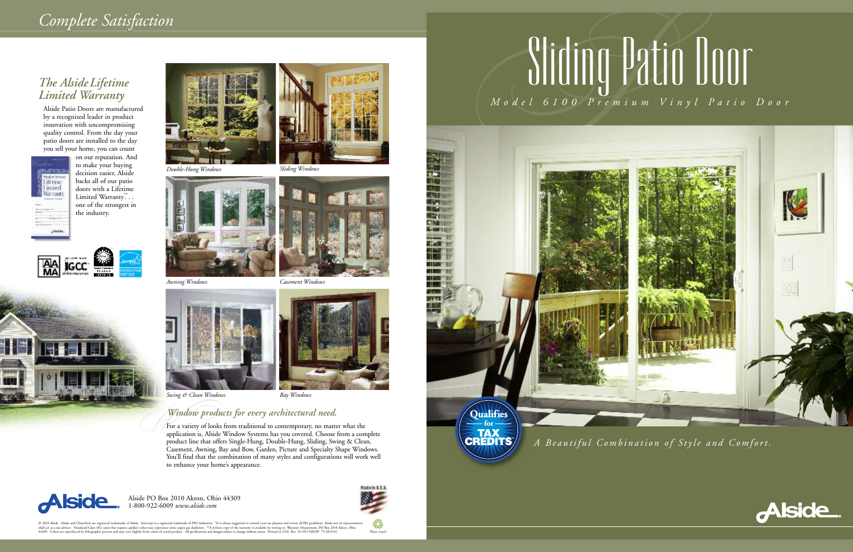

Alside PO Box 2010 Akron, Ohio 44309 1-800-922-6009 *www.alside.com*



### *The AlsideLifetime Limited Warranty*

Alside Patio Doors are manufactured by a recognized leader in product innovation with uncompromising quality control. From the day your patio doors are installed to the day you sell your home, you can count



on our reputation. And to make your buying decision easier, Alside backs all of our patio doors with a Lifetime Limited Warranty.<sup>\*\*</sup>.. one of the strongest in the industry.



© 2010 Alside. Alside and ClimaTech are registered trademarks of Alside. Intercept is a registered trademark of PPG Industries. "It is always suggested to consult your tax planner and review all IRS guidelines. Alside nor *Please recycle*

#### *Window products for every architectural need.*

For a variety of looks from traditional to contemporary, no matter what the application is, Alside Window Systems has you covered. Choose from a complete product line that offers Single-Hung, Double-Hung, Sliding, Swing & Clean, Casement, Awning, Bay and Bow, Garden, Picture and Specialty Shape Windows. You'll find that the combination of many styles and configurations will work well to enhance your home's appearance.











*Swing & Clean Windows Bay Windows*







# Sliding Patio Door

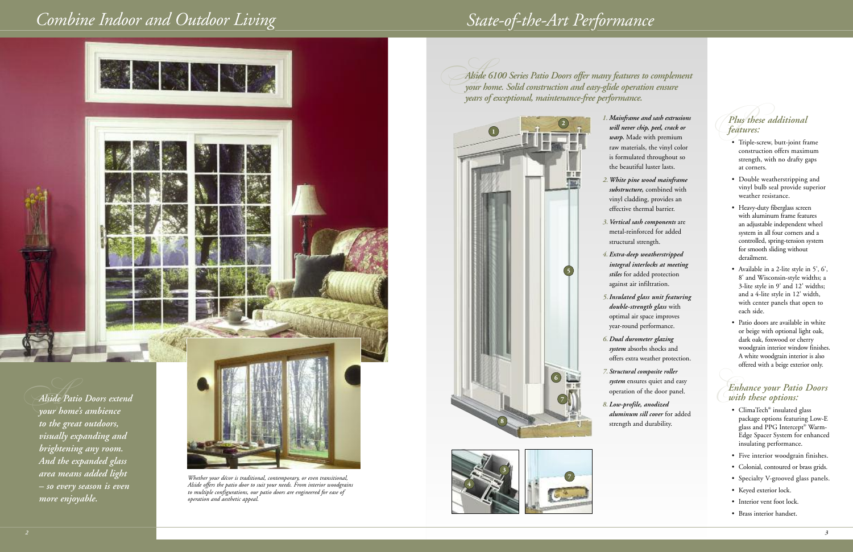#### *PPlus these additional features:*

- Triple-screw, butt-joint frame construction offers maximum strength, with no drafty gaps at corners.
- Double weatherstripping and vinyl bulb seal provide superior weather resistance.
- Heavy-duty fiberglass screen with aluminum frame features an adjustable independent wheel system in all four corners and a controlled, spring-tension system for smooth sliding without derailment.
- Available in a 2-lite style in 5', 6', 8' and Wisconsin-style widths; a 3-lite style in 9' and 12' widths; and a 4-lite style in 12' width, with center panels that open to each side.
- Patio doors are available in white or beige with optional light oak, dark oak, foxwood or cherry woodgrain interior window finishes. A white woodgrain interior is also offered with a beige exterior only.

#### *E Enhance your Patio Doors with these options:*

- ClimaTech<sup>®</sup> insulated glass package options featuring Low-E glass and PPG Intercept ® Warm-Edge Spacer System for enhanced insulating performance.
- Five interior woodgrain finishes.
- Colonial, contoured or brass grids.
- Specialty V-grooved glass panels.
- Keyed exterior lock.
- Interior vent foot lock.
- Brass interior handset.

*AAlside <sup>6100</sup> Series Patio Doors offer many features to complement your home. Solid construction and easy-glide operation ensure years of exceptional, maintenance-free performance.*



*2*



## *Combine Indoor and Outdoor Living State-of-the-Art Performance*

*1. Mainframe and sash extrusions will never chip, peel, crack or warp.* Made with premium raw materials, the vinyl color is formulated throughout so the beautiful luster lasts.

*2.White pine wood mainframe substructure,* combined with vinyl cladding, provides an effective thermal barrier.

*3.Vertical sash components* are metal-reinforced for added structural strength.

*4. Extra-deep weatherstripped integral interlocks at meeting stiles* for added protection against air infiltration.

*5.Insulated glass unit featuring double-strength glass* with optimal air space improves year-round performance.

*6.Dual durometer glazing system* absorbs shocks and offers extra weather protection.

*7. Structural composite roller system* ensures quiet and easy operation of the door panel.

*8. Low-profile, anodized aluminum sill cover* for added strength and durability.



*your home's ambience to the great outdoors, visually expanding and brightening any room. And the expanded glass area means added light – so every season is even more enjoyable.*



- 
- 
- 
- 
- 
- 
-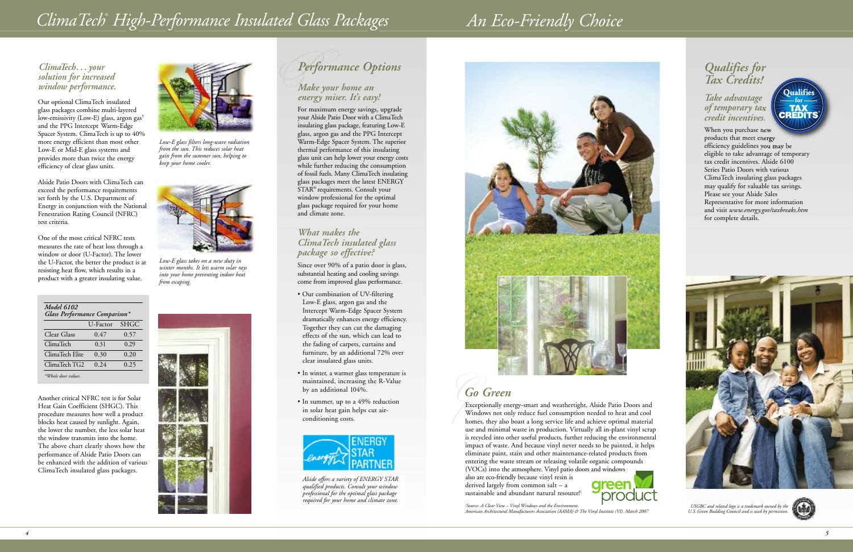For maximum energy savings, upgrade your Alside Patio Door with a ClimaTech insulating glass package, featuring Low-E glass, argon gas and the PPG Intercept Warm-Edge Spacer System. The superior thermal performance of this insulating glass unit can help lower your energy costs while further reducing the consumption of fossil fuels. Many ClimaTech insulating glass packages meet the latest ENERGY STAR® requirements. Consult your window professional for the optimal glass package required for your home and climate zone.

#### *What makes the ClimaTech insulated glass package so effective?*

Since over 90% of a patio door is glass, substantial heating and cooling savings come from improved glass performance.

## *G Go Green*

- Our combination of UV-filtering Low-E glass, argon gas and the Intercept Warm-Edge Spacer System dramatically enhances energy efficiency. Together they can cut the damaging effects of the sun, which can lead to the fading of carpets, curtains and furniture, by an additional 72% over clear insulated glass units.
- In winter, a warmer glass temperature is maintained, increasing the R-Value by an additional 104%.
- In summer, up to a 49% reduction in solar heat gain helps cut airconditioning costs.



*Alside offers a variety of ENERGY STAR qualified products. Consult your window professional for the optimal glass package required for your home and climate zone.*



Exceptionally energy-smart and weathertight, Alside Patio Doors and Windows not only reduce fuel consumption needed to heat and cool homes, they also boast a long service life and achieve optimal material use and minimal waste in production. Virtually all in-plant vinyl scrap is recycled into other useful products, further reducing the environmental impact of waste. And because vinyl never needs to be painted, it helps eliminate paint, stain and other maintenance-related products from entering the waste stream or releasing volatile organic compounds (VOCs) into the atmosphere. Vinyl patio doors and windows also are eco-friendly because vinyl resin is

derived largely from common salt – a sustainable and abundant natural resource! 1



*1 Source: A Clear View – Vinyl Windows and the Environment. American Architectural Manufacturers Association (AAMA) & The Vinyl Institute (VI). March 2007*

*USGBC and related logo is a trademark owned by the U.S. Green Building Council and is used by permission.*



Another critical NFRC test is for Solar Heat Gain Coefficient (SHGC). This procedure measures how well a product blocks heat caused by sunlight. Again, the lower the number, the less solar heat the window transmits into the home. The above chart clearly shows how the performance of Alside Patio Doors can be enhanced with the addition of various ClimaTech insulated glass packages.

#### *ClimaTech. . .your solution for increased window performance.*

Our optional ClimaTech insulated glass packages combine multi-layered low-emissivity (Low-E) glass, argon gas† and the PPG Intercept Warm-Edge Spacer System. ClimaTech is up to 40% more energy efficient than most other Low-E or Mid-E glass systems and provides more than twice the energy efficiency of clear glass units.

Alside Patio Doors with ClimaTech can exceed the performance requirements set forth by the U.S. Department of Energy in conjunction with the National Fenestration Rating Council (NFRC) test criteria.

One of the most critical NFRC tests measures the rate of heat loss through a window or door (U-Factor). The lower the U-Factor, the better the product is at resisting heat flow, which results in a product with a greater insulating value.



*Low-E glass filters long-wave radiation from the sun. This reduces solar heat gain from the summer sun, helping to keep your home cooler.*



*Low-E glass takes on a new duty in winter months. It lets warm solar rays into your home preventing indoor heat from escaping.*



| Model 6102<br>Glass Performance Comparison* |          |             |
|---------------------------------------------|----------|-------------|
|                                             | U-Factor | <b>SHGC</b> |
| Clear Glass                                 | 0.47     | 0.57        |
| ClimaTech                                   | 0.31     | 0.29        |
| ClimaTech Elite                             | 0.30     | 0.20        |
| ClimaTech TG2                               | 0.24     | 0.25        |
| *Whole door values.                         |          |             |

## *ClimaTech* ® *High-Performance Insulated Glass Packages An Eco-Friendly Choice*

## *PPerformance Options*

#### *Make your home an energy miser. It's easy!*

#### *Qualifies for Tax Credits!*

#### *Take advantage of temporary tax credit incentives.*

When you purchase new products that meet energy efficiency guidelines you may be eligible to take advantage of temporary tax credit incentives. Alside 6100 Series Patio Doors with various ClimaTech insulating glass packages may qualify for valuable tax savings. Please see your Alside Sales Representative for more information and visit *www.energy.gov/taxbreaks.htm* for complete details.